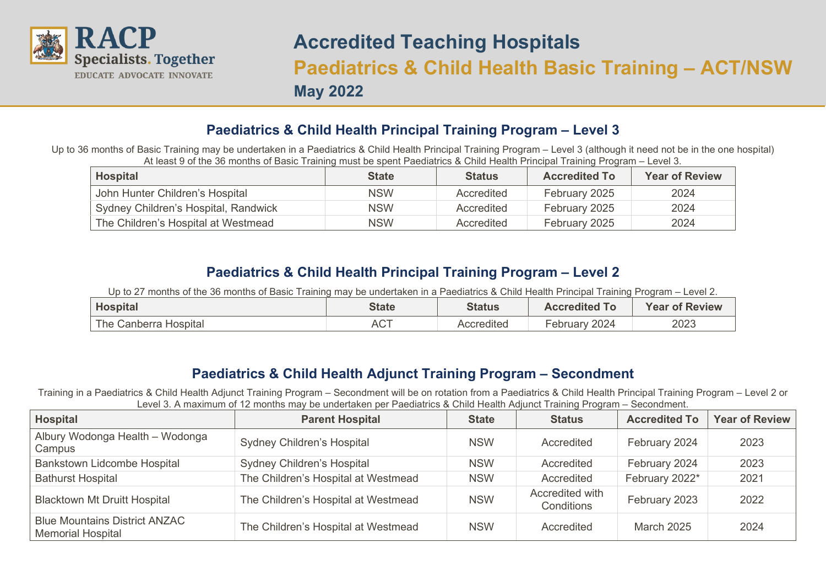

## **Accredited Teaching Hospitals Paediatrics & Child Health Basic Training – ACT/NSW May 2022**

## **Paediatrics & Child Health Principal Training Program – Level 3**

Up to 36 months of Basic Training may be undertaken in a Paediatrics & Child Health Principal Training Program – Level 3 (although it need not be in the one hospital) At least 9 of the 36 months of Basic Training must be spent Paediatrics & Child Health Principal Training Program – Level 3.

| <b>Hospital</b>                      | <b>State</b> | <b>Status</b> | <b>Accredited To</b> | <b>Year of Review</b> |
|--------------------------------------|--------------|---------------|----------------------|-----------------------|
| John Hunter Children's Hospital      | <b>NSW</b>   | Accredited    | February 2025        | 2024                  |
| Sydney Children's Hospital, Randwick | <b>NSW</b>   | Accredited    | February 2025        | 2024                  |
| The Children's Hospital at Westmead  | <b>NSW</b>   | Accredited    | February 2025        | 2024                  |

## **Paediatrics & Child Health Principal Training Program – Level 2**

Up to 27 months of the 36 months of Basic Training may be undertaken in a Paediatrics & Child Health Principal Training Program – Level 2.

| <b>Hospital</b>       | <b>State</b> | Status     | <b>Accredited To</b> | <b>Year of Review</b> |
|-----------------------|--------------|------------|----------------------|-----------------------|
| The Canberra Hospital | <b>ACT</b>   | Accredited | 2024<br>Februarv     | 2023                  |

## **Paediatrics & Child Health Adjunct Training Program – Secondment**

Training in a Paediatrics & Child Health Adjunct Training Program – Secondment will be on rotation from a Paediatrics & Child Health Principal Training Program – Level 2 or Level 3. A maximum of 12 months may be undertaken per Paediatrics & Child Health Adjunct Training Program – Secondment.

| <b>Hospital</b>                                                  | <b>Parent Hospital</b>              | <b>State</b> | <b>Status</b>                 | <b>Accredited To</b> | <b>Year of Review</b> |
|------------------------------------------------------------------|-------------------------------------|--------------|-------------------------------|----------------------|-----------------------|
| Albury Wodonga Health - Wodonga<br>Campus                        | <b>Sydney Children's Hospital</b>   | <b>NSW</b>   | Accredited                    | February 2024        | 2023                  |
| Bankstown Lidcombe Hospital                                      | <b>Sydney Children's Hospital</b>   | <b>NSW</b>   | Accredited                    | February 2024        | 2023                  |
| <b>Bathurst Hospital</b>                                         | The Children's Hospital at Westmead | <b>NSW</b>   | Accredited                    | February 2022*       | 2021                  |
| <b>Blacktown Mt Druitt Hospital</b>                              | The Children's Hospital at Westmead | <b>NSW</b>   | Accredited with<br>Conditions | February 2023        | 2022                  |
| <b>Blue Mountains District ANZAC</b><br><b>Memorial Hospital</b> | The Children's Hospital at Westmead | <b>NSW</b>   | Accredited                    | <b>March 2025</b>    | 2024                  |